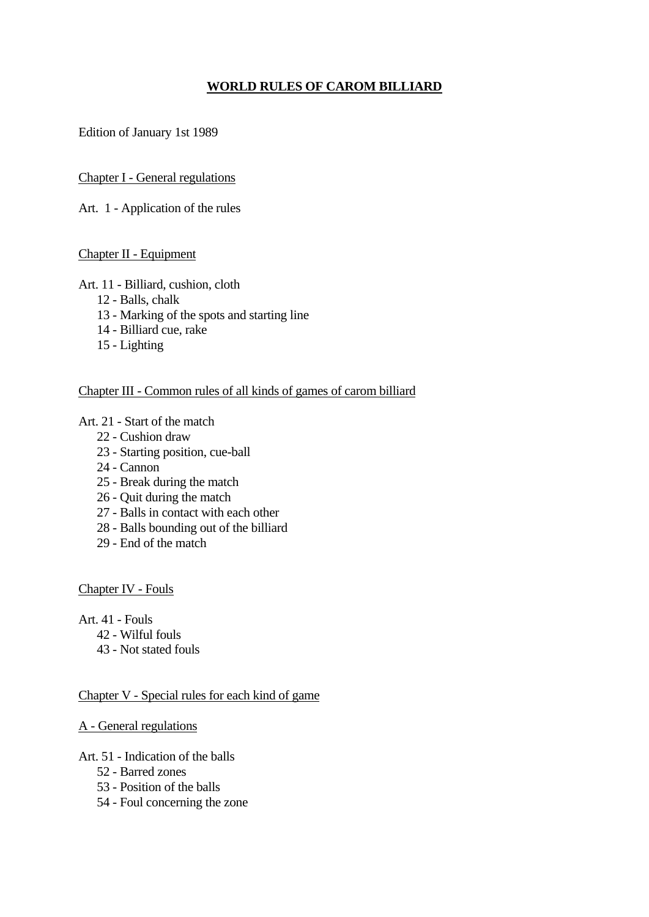# **WORLD RULES OF CAROM BILLIARD**

Edition of January 1st 1989

### Chapter I - General regulations

Art. 1 - Application of the rules

### Chapter II - Equipment

### Art. 11 - Billiard, cushion, cloth

- 12 Balls, chalk
- 13 Marking of the spots and starting line
- 14 Billiard cue, rake
- 15 Lighting

### Chapter III - Common rules of all kinds of games of carom billiard

### Art. 21 - Start of the match

- 22 Cushion draw
- 23 Starting position, cue-ball
- 24 Cannon
- 25 Break during the match
- 26 Quit during the match
- 27 Balls in contact with each other
- 28 Balls bounding out of the billiard
- 29 End of the match

Chapter IV - Fouls

Art. 41 - Fouls

- 42 Wilful fouls
- 43 Not stated fouls

#### Chapter V - Special rules for each kind of game

#### A - General regulations

Art. 51 - Indication of the balls

- 52 Barred zones
- 53 Position of the balls
- 54 Foul concerning the zone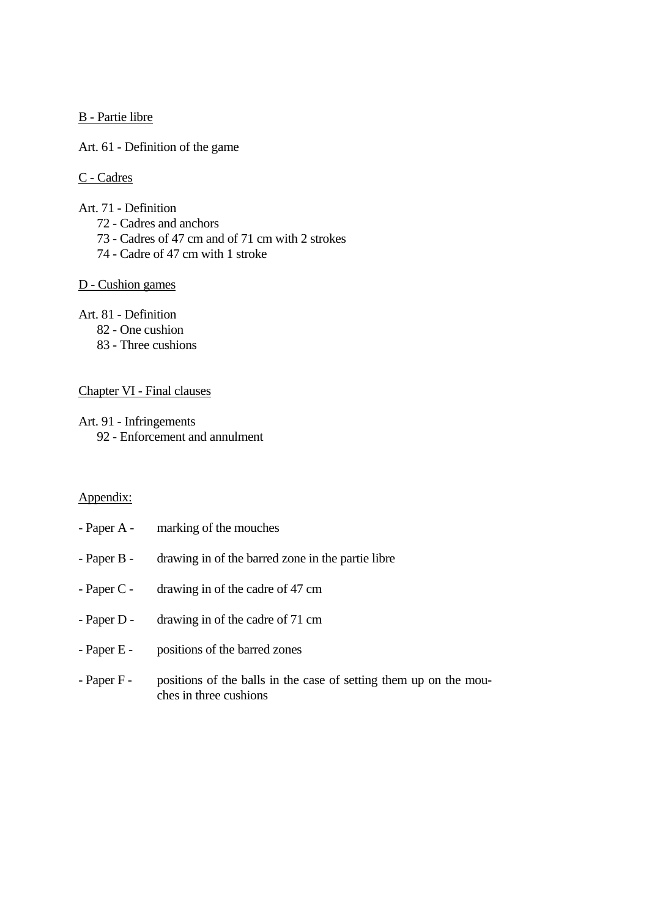B - Partie libre

Art. 61 - Definition of the game

C - Cadres

- Art. 71 Definition
	- 72 Cadres and anchors
	- 73 Cadres of 47 cm and of 71 cm with 2 strokes
	- 74 Cadre of 47 cm with 1 stroke

### D - Cushion games

Art. 81 - Definition

- 82 One cushion
- 83 Three cushions

#### Chapter VI - Final clauses

Art. 91 - Infringements

92 - Enforcement and annulment

ches in three cushions

# Appendix:

| - Paper A - marking of the mouches                                            |
|-------------------------------------------------------------------------------|
| - Paper B - drawing in of the barred zone in the partie libre                 |
| - Paper C - $\alpha$ drawing in of the cadre of 47 cm                         |
| - Paper D - drawing in of the cadre of 71 cm                                  |
| - Paper E - positions of the barred zones                                     |
| - Paper F - positions of the balls in the case of setting them up on the mou- |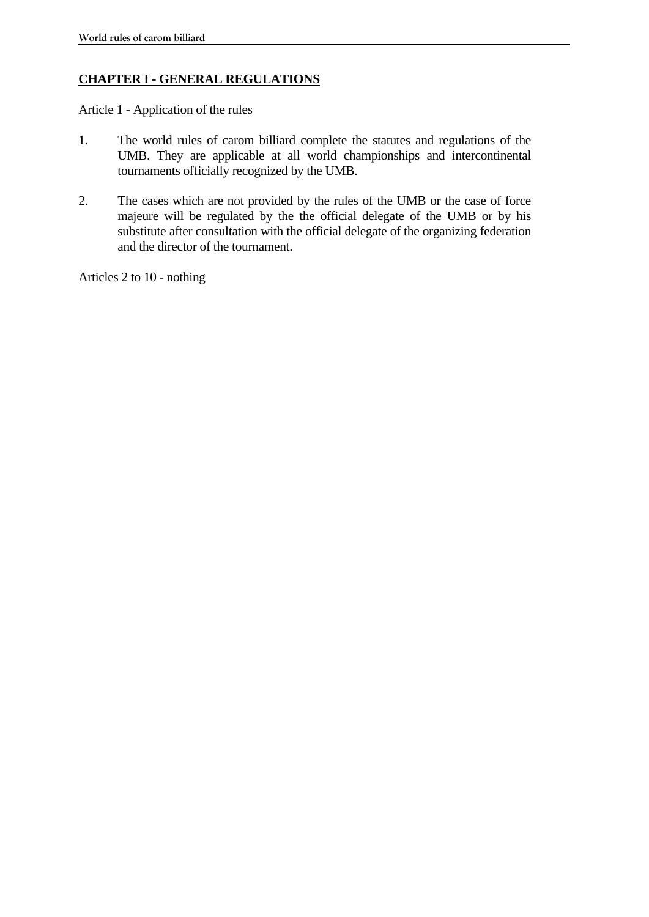# **CHAPTER I - GENERAL REGULATIONS**

Article 1 - Application of the rules

- 1. The world rules of carom billiard complete the statutes and regulations of the UMB. They are applicable at all world championships and intercontinental tournaments officially recognized by the UMB.
- 2. The cases which are not provided by the rules of the UMB or the case of force majeure will be regulated by the the official delegate of the UMB or by his substitute after consultation with the official delegate of the organizing federation and the director of the tournament.

Articles 2 to 10 - nothing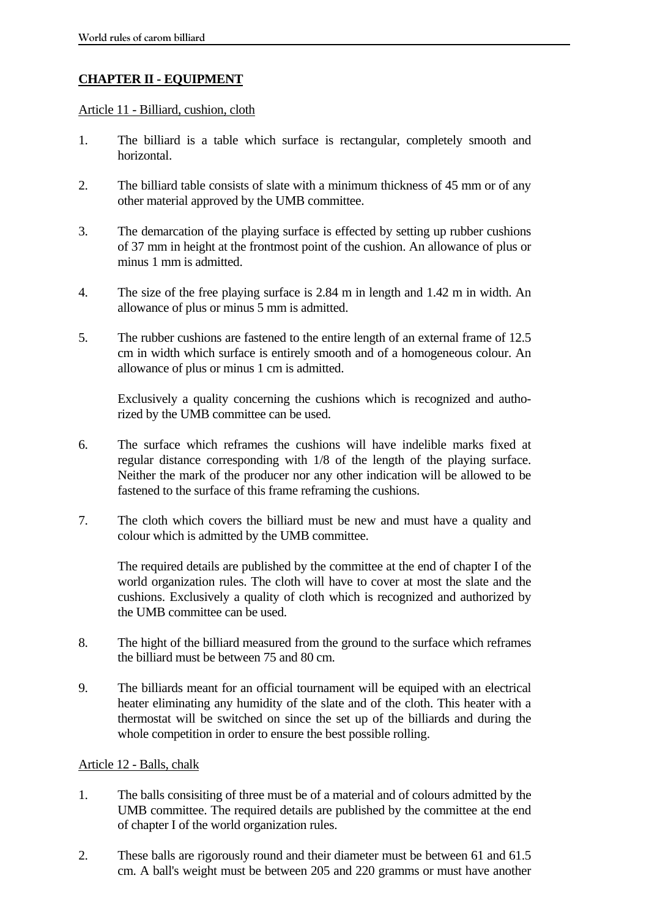# **CHAPTER II - EQUIPMENT**

#### Article 11 - Billiard, cushion, cloth

- 1. The billiard is a table which surface is rectangular, completely smooth and horizontal.
- 2. The billiard table consists of slate with a minimum thickness of 45 mm or of any other material approved by the UMB committee.
- 3. The demarcation of the playing surface is effected by setting up rubber cushions of 37 mm in height at the frontmost point of the cushion. An allowance of plus or minus 1 mm is admitted.
- 4. The size of the free playing surface is 2.84 m in length and 1.42 m in width. An allowance of plus or minus 5 mm is admitted.
- 5. The rubber cushions are fastened to the entire length of an external frame of 12.5 cm in width which surface is entirely smooth and of a homogeneous colour. An allowance of plus or minus 1 cm is admitted.

 Exclusively a quality concerning the cushions which is recognized and authorized by the UMB committee can be used.

- 6. The surface which reframes the cushions will have indelible marks fixed at regular distance corresponding with 1/8 of the length of the playing surface. Neither the mark of the producer nor any other indication will be allowed to be fastened to the surface of this frame reframing the cushions.
- 7. The cloth which covers the billiard must be new and must have a quality and colour which is admitted by the UMB committee.

 The required details are published by the committee at the end of chapter I of the world organization rules. The cloth will have to cover at most the slate and the cushions. Exclusively a quality of cloth which is recognized and authorized by the UMB committee can be used.

- 8. The hight of the billiard measured from the ground to the surface which reframes the billiard must be between 75 and 80 cm.
- 9. The billiards meant for an official tournament will be equiped with an electrical heater eliminating any humidity of the slate and of the cloth. This heater with a thermostat will be switched on since the set up of the billiards and during the whole competition in order to ensure the best possible rolling.

## Article 12 - Balls, chalk

- 1. The balls consisiting of three must be of a material and of colours admitted by the UMB committee. The required details are published by the committee at the end of chapter I of the world organization rules.
- 2. These balls are rigorously round and their diameter must be between 61 and 61.5 cm. A ball's weight must be between 205 and 220 gramms or must have another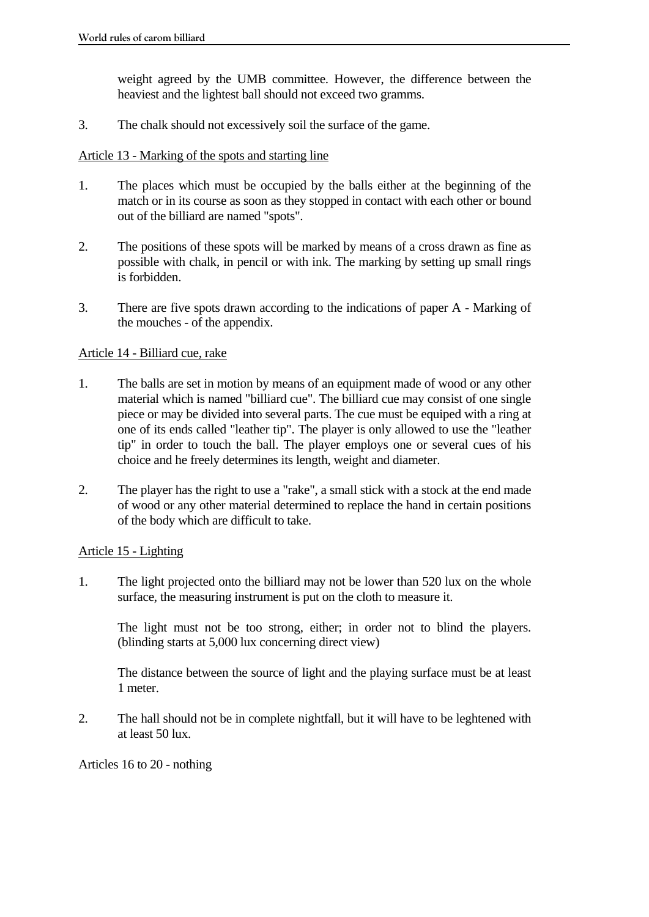weight agreed by the UMB committee. However, the difference between the heaviest and the lightest ball should not exceed two gramms.

3. The chalk should not excessively soil the surface of the game.

### Article 13 - Marking of the spots and starting line

- 1. The places which must be occupied by the balls either at the beginning of the match or in its course as soon as they stopped in contact with each other or bound out of the billiard are named "spots".
- 2. The positions of these spots will be marked by means of a cross drawn as fine as possible with chalk, in pencil or with ink. The marking by setting up small rings is forbidden.
- 3. There are five spots drawn according to the indications of paper A Marking of the mouches - of the appendix.

### Article 14 - Billiard cue, rake

- 1. The balls are set in motion by means of an equipment made of wood or any other material which is named "billiard cue". The billiard cue may consist of one single piece or may be divided into several parts. The cue must be equiped with a ring at one of its ends called "leather tip". The player is only allowed to use the "leather tip" in order to touch the ball. The player employs one or several cues of his choice and he freely determines its length, weight and diameter.
- 2. The player has the right to use a "rake", a small stick with a stock at the end made of wood or any other material determined to replace the hand in certain positions of the body which are difficult to take.

#### Article 15 - Lighting

1. The light projected onto the billiard may not be lower than 520 lux on the whole surface, the measuring instrument is put on the cloth to measure it.

 The light must not be too strong, either; in order not to blind the players. (blinding starts at 5,000 lux concerning direct view)

 The distance between the source of light and the playing surface must be at least 1 meter.

2. The hall should not be in complete nightfall, but it will have to be leghtened with at least 50 lux.

Articles 16 to 20 - nothing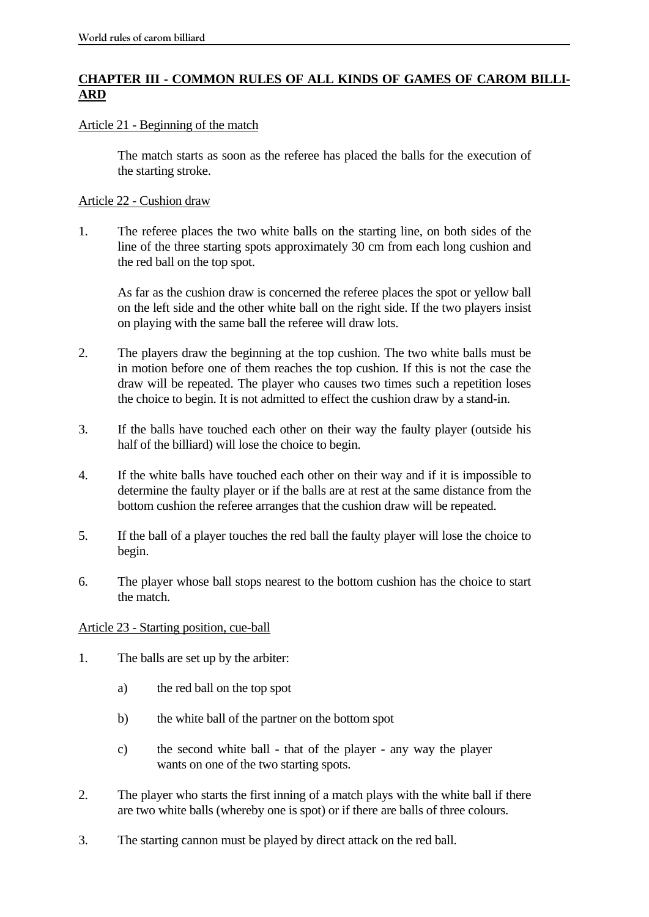# **CHAPTER III - COMMON RULES OF ALL KINDS OF GAMES OF CAROM BILLI-ARD**

### Article 21 - Beginning of the match

 The match starts as soon as the referee has placed the balls for the execution of the starting stroke.

### Article 22 - Cushion draw

1. The referee places the two white balls on the starting line, on both sides of the line of the three starting spots approximately 30 cm from each long cushion and the red ball on the top spot.

 As far as the cushion draw is concerned the referee places the spot or yellow ball on the left side and the other white ball on the right side. If the two players insist on playing with the same ball the referee will draw lots.

- 2. The players draw the beginning at the top cushion. The two white balls must be in motion before one of them reaches the top cushion. If this is not the case the draw will be repeated. The player who causes two times such a repetition loses the choice to begin. It is not admitted to effect the cushion draw by a stand-in.
- 3. If the balls have touched each other on their way the faulty player (outside his half of the billiard) will lose the choice to begin.
- 4. If the white balls have touched each other on their way and if it is impossible to determine the faulty player or if the balls are at rest at the same distance from the bottom cushion the referee arranges that the cushion draw will be repeated.
- 5. If the ball of a player touches the red ball the faulty player will lose the choice to begin.
- 6. The player whose ball stops nearest to the bottom cushion has the choice to start the match.

## Article 23 - Starting position, cue-ball

- 1. The balls are set up by the arbiter:
	- a) the red ball on the top spot
	- b) the white ball of the partner on the bottom spot
	- c) the second white ball that of the player any way the player wants on one of the two starting spots.
- 2. The player who starts the first inning of a match plays with the white ball if there are two white balls (whereby one is spot) or if there are balls of three colours.
- 3. The starting cannon must be played by direct attack on the red ball.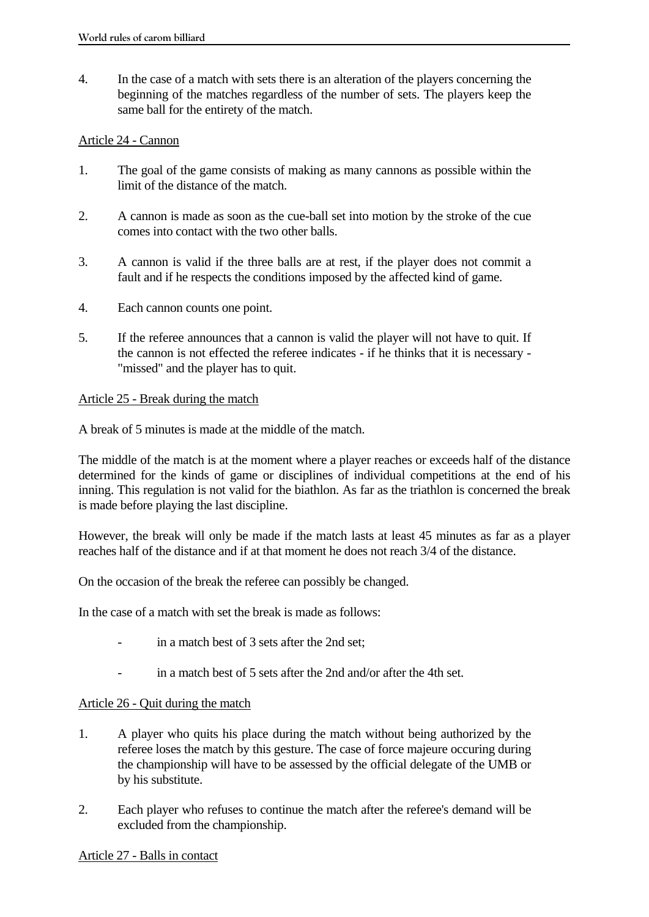4. In the case of a match with sets there is an alteration of the players concerning the beginning of the matches regardless of the number of sets. The players keep the same ball for the entirety of the match.

### Article 24 - Cannon

- 1. The goal of the game consists of making as many cannons as possible within the limit of the distance of the match.
- 2. A cannon is made as soon as the cue-ball set into motion by the stroke of the cue comes into contact with the two other balls.
- 3. A cannon is valid if the three balls are at rest, if the player does not commit a fault and if he respects the conditions imposed by the affected kind of game.
- 4. Each cannon counts one point.
- 5. If the referee announces that a cannon is valid the player will not have to quit. If the cannon is not effected the referee indicates - if he thinks that it is necessary - "missed" and the player has to quit.

### Article 25 - Break during the match

A break of 5 minutes is made at the middle of the match.

The middle of the match is at the moment where a player reaches or exceeds half of the distance determined for the kinds of game or disciplines of individual competitions at the end of his inning. This regulation is not valid for the biathlon. As far as the triathlon is concerned the break is made before playing the last discipline.

However, the break will only be made if the match lasts at least 45 minutes as far as a player reaches half of the distance and if at that moment he does not reach 3/4 of the distance.

On the occasion of the break the referee can possibly be changed.

In the case of a match with set the break is made as follows:

- in a match best of 3 sets after the 2nd set:
- in a match best of 5 sets after the 2nd and/or after the 4th set.

## Article 26 - Quit during the match

- 1. A player who quits his place during the match without being authorized by the referee loses the match by this gesture. The case of force majeure occuring during the championship will have to be assessed by the official delegate of the UMB or by his substitute.
- 2. Each player who refuses to continue the match after the referee's demand will be excluded from the championship.

#### Article 27 - Balls in contact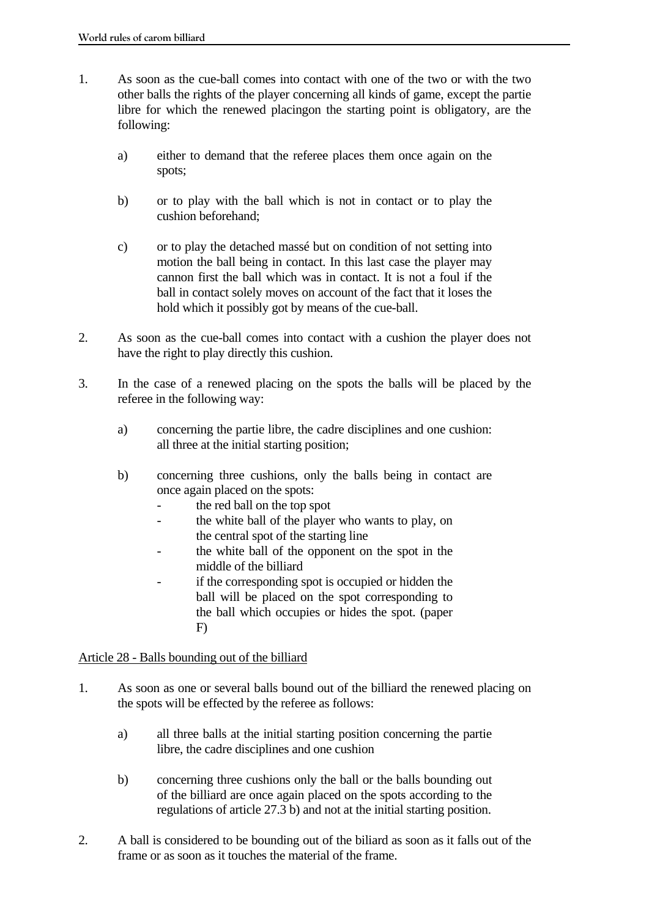- 1. As soon as the cue-ball comes into contact with one of the two or with the two other balls the rights of the player concerning all kinds of game, except the partie libre for which the renewed placingon the starting point is obligatory, are the following:
	- a) either to demand that the referee places them once again on the spots;
	- b) or to play with the ball which is not in contact or to play the cushion beforehand;
	- c) or to play the detached massé but on condition of not setting into motion the ball being in contact. In this last case the player may cannon first the ball which was in contact. It is not a foul if the ball in contact solely moves on account of the fact that it loses the hold which it possibly got by means of the cue-ball.
- 2. As soon as the cue-ball comes into contact with a cushion the player does not have the right to play directly this cushion.
- 3. In the case of a renewed placing on the spots the balls will be placed by the referee in the following way:
	- a) concerning the partie libre, the cadre disciplines and one cushion: all three at the initial starting position;
	- b) concerning three cushions, only the balls being in contact are once again placed on the spots:
		- the red ball on the top spot
		- the white ball of the player who wants to play, on the central spot of the starting line
		- the white ball of the opponent on the spot in the middle of the billiard
		- if the corresponding spot is occupied or hidden the ball will be placed on the spot corresponding to the ball which occupies or hides the spot. (paper F)

## Article 28 - Balls bounding out of the billiard

- 1. As soon as one or several balls bound out of the billiard the renewed placing on the spots will be effected by the referee as follows:
	- a) all three balls at the initial starting position concerning the partie libre, the cadre disciplines and one cushion
	- b) concerning three cushions only the ball or the balls bounding out of the billiard are once again placed on the spots according to the regulations of article 27.3 b) and not at the initial starting position.
- 2. A ball is considered to be bounding out of the biliard as soon as it falls out of the frame or as soon as it touches the material of the frame.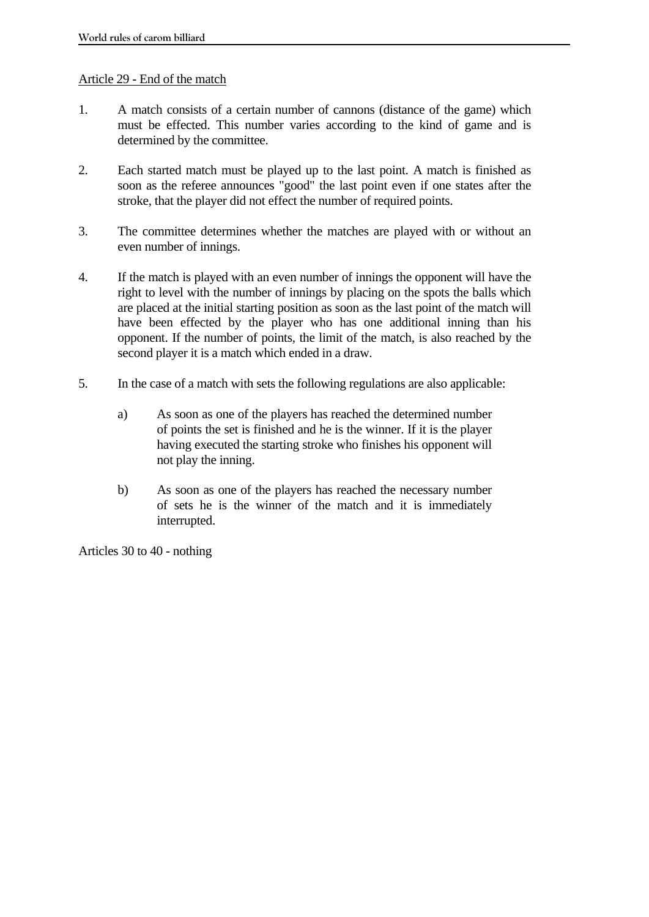### Article 29 - End of the match

- 1. A match consists of a certain number of cannons (distance of the game) which must be effected. This number varies according to the kind of game and is determined by the committee.
- 2. Each started match must be played up to the last point. A match is finished as soon as the referee announces "good" the last point even if one states after the stroke, that the player did not effect the number of required points.
- 3. The committee determines whether the matches are played with or without an even number of innings.
- 4. If the match is played with an even number of innings the opponent will have the right to level with the number of innings by placing on the spots the balls which are placed at the initial starting position as soon as the last point of the match will have been effected by the player who has one additional inning than his opponent. If the number of points, the limit of the match, is also reached by the second player it is a match which ended in a draw.
- 5. In the case of a match with sets the following regulations are also applicable:
	- a) As soon as one of the players has reached the determined number of points the set is finished and he is the winner. If it is the player having executed the starting stroke who finishes his opponent will not play the inning.
	- b) As soon as one of the players has reached the necessary number of sets he is the winner of the match and it is immediately interrupted.

Articles 30 to 40 - nothing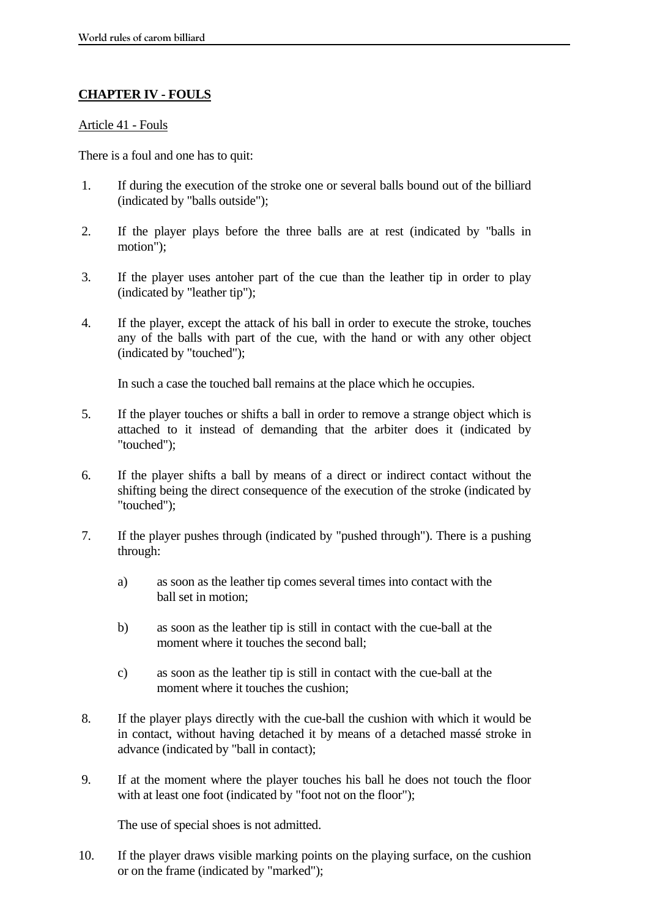## **CHAPTER IV - FOULS**

#### Article 41 - Fouls

There is a foul and one has to quit:

- 1. If during the execution of the stroke one or several balls bound out of the billiard (indicated by "balls outside");
- 2. If the player plays before the three balls are at rest (indicated by "balls in motion");
- 3. If the player uses antoher part of the cue than the leather tip in order to play (indicated by "leather tip");
- 4. If the player, except the attack of his ball in order to execute the stroke, touches any of the balls with part of the cue, with the hand or with any other object (indicated by "touched");

In such a case the touched ball remains at the place which he occupies.

- 5. If the player touches or shifts a ball in order to remove a strange object which is attached to it instead of demanding that the arbiter does it (indicated by "touched");
- 6. If the player shifts a ball by means of a direct or indirect contact without the shifting being the direct consequence of the execution of the stroke (indicated by "touched");
- 7. If the player pushes through (indicated by "pushed through"). There is a pushing through:
	- a) as soon as the leather tip comes several times into contact with the ball set in motion;
	- b) as soon as the leather tip is still in contact with the cue-ball at the moment where it touches the second ball;
	- c) as soon as the leather tip is still in contact with the cue-ball at the moment where it touches the cushion;
- 8. If the player plays directly with the cue-ball the cushion with which it would be in contact, without having detached it by means of a detached massé stroke in advance (indicated by "ball in contact);
- 9. If at the moment where the player touches his ball he does not touch the floor with at least one foot (indicated by "foot not on the floor");

The use of special shoes is not admitted.

10. If the player draws visible marking points on the playing surface, on the cushion or on the frame (indicated by "marked");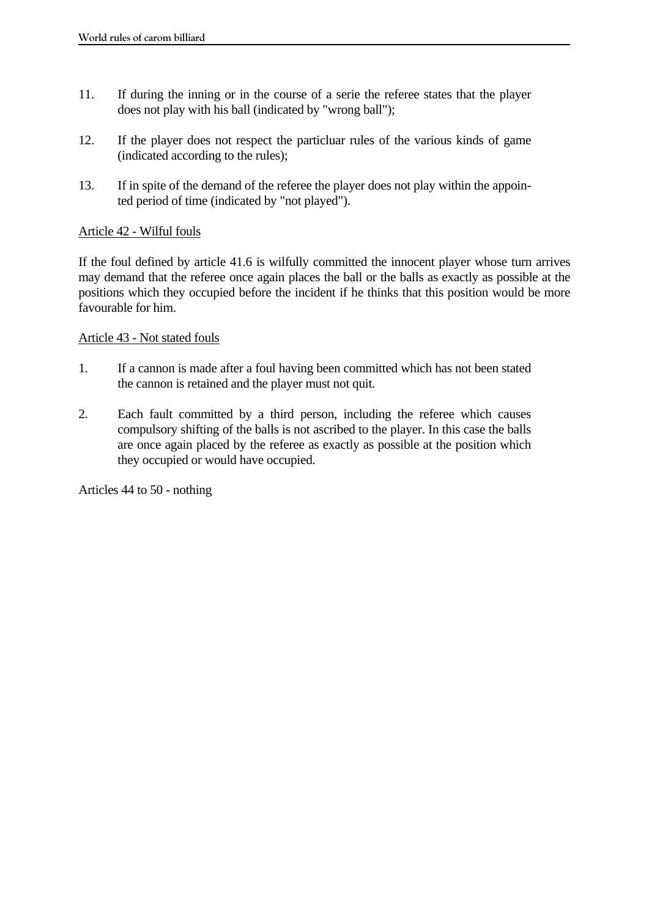- 11. If during the inning or in the course of a serie the referee states that the player does not play with his ball (indicated by "wrong ball");
- 12. If the player does not respect the particluar rules of the various kinds of game (indicated according to the rules);
- 13. If in spite of the demand of the referee the player does not play within the appointed period of time (indicated by "not played").

### Article 42 - Wilful fouls

If the foul defined by article 41.6 is wilfully committed the innocent player whose turn arrives may demand that the referee once again places the ball or the balls as exactly as possible at the positions which they occupied before the incident if he thinks that this position would be more favourable for him.

### Article 43 - Not stated fouls

- 1. If a cannon is made after a foul having been committed which has not been stated the cannon is retained and the player must not quit.
- 2. Each fault committed by a third person, including the referee which causes compulsory shifting of the balls is not ascribed to the player. In this case the balls are once again placed by the referee as exactly as possible at the position which they occupied or would have occupied.

Articles 44 to 50 - nothing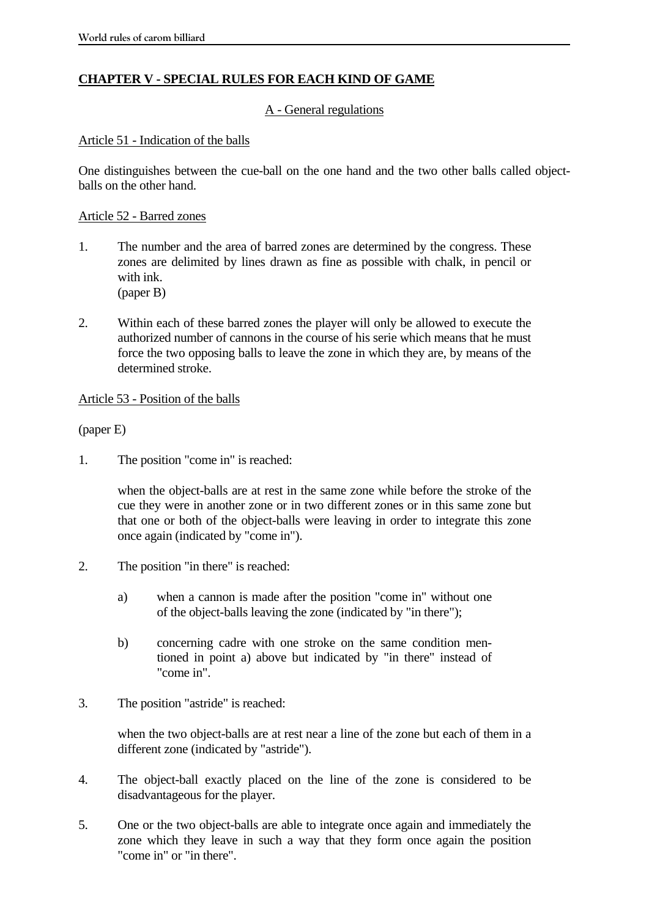# **CHAPTER V - SPECIAL RULES FOR EACH KIND OF GAME**

### A - General regulations

### Article 51 - Indication of the balls

One distinguishes between the cue-ball on the one hand and the two other balls called objectballs on the other hand.

### Article 52 - Barred zones

- 1. The number and the area of barred zones are determined by the congress. These zones are delimited by lines drawn as fine as possible with chalk, in pencil or with ink. (paper B)
- 2. Within each of these barred zones the player will only be allowed to execute the authorized number of cannons in the course of his serie which means that he must force the two opposing balls to leave the zone in which they are, by means of the determined stroke.

### Article 53 - Position of the balls

(paper E)

1. The position "come in" is reached:

 when the object-balls are at rest in the same zone while before the stroke of the cue they were in another zone or in two different zones or in this same zone but that one or both of the object-balls were leaving in order to integrate this zone once again (indicated by "come in").

- 2. The position "in there" is reached:
	- a) when a cannon is made after the position "come in" without one of the object-balls leaving the zone (indicated by "in there");
	- b) concerning cadre with one stroke on the same condition mentioned in point a) above but indicated by "in there" instead of "come in".
- 3. The position "astride" is reached:

 when the two object-balls are at rest near a line of the zone but each of them in a different zone (indicated by "astride").

- 4. The object-ball exactly placed on the line of the zone is considered to be disadvantageous for the player.
- 5. One or the two object-balls are able to integrate once again and immediately the zone which they leave in such a way that they form once again the position "come in" or "in there".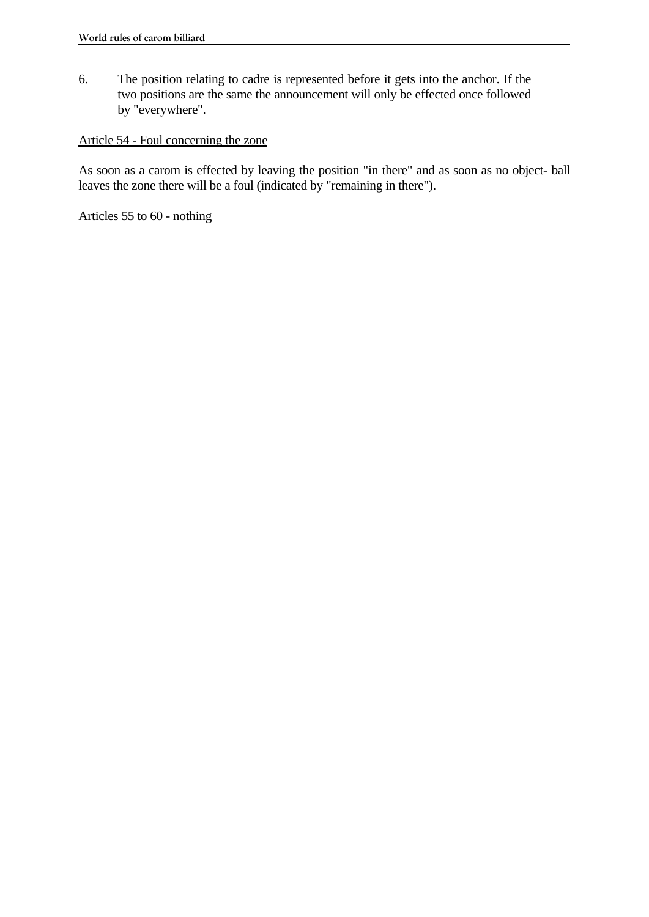6. The position relating to cadre is represented before it gets into the anchor. If the two positions are the same the announcement will only be effected once followed by "everywhere".

## Article 54 - Foul concerning the zone

As soon as a carom is effected by leaving the position "in there" and as soon as no object- ball leaves the zone there will be a foul (indicated by "remaining in there").

Articles 55 to 60 - nothing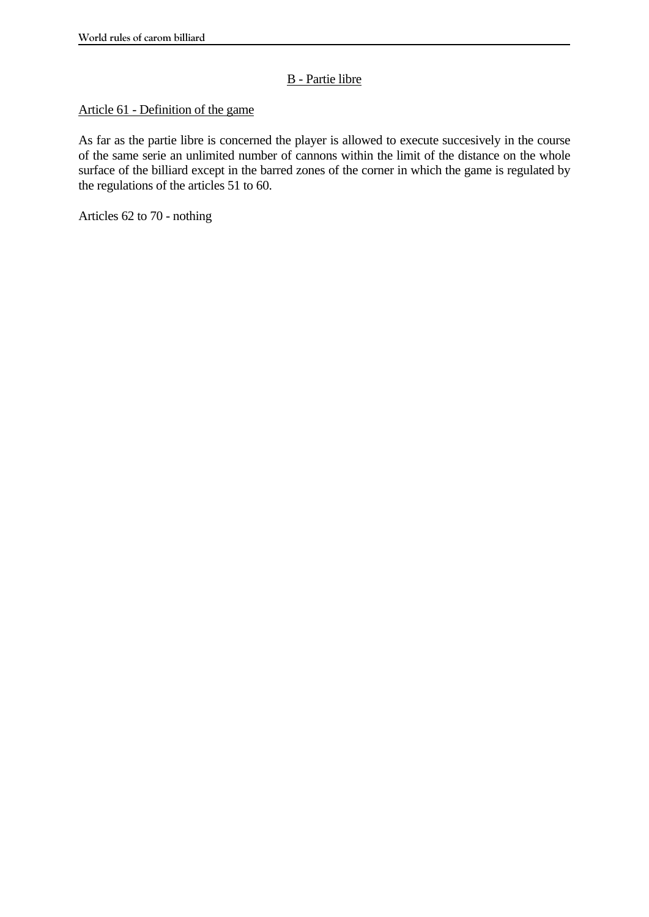# B - Partie libre

## Article 61 - Definition of the game

As far as the partie libre is concerned the player is allowed to execute succesively in the course of the same serie an unlimited number of cannons within the limit of the distance on the whole surface of the billiard except in the barred zones of the corner in which the game is regulated by the regulations of the articles 51 to 60.

Articles 62 to 70 - nothing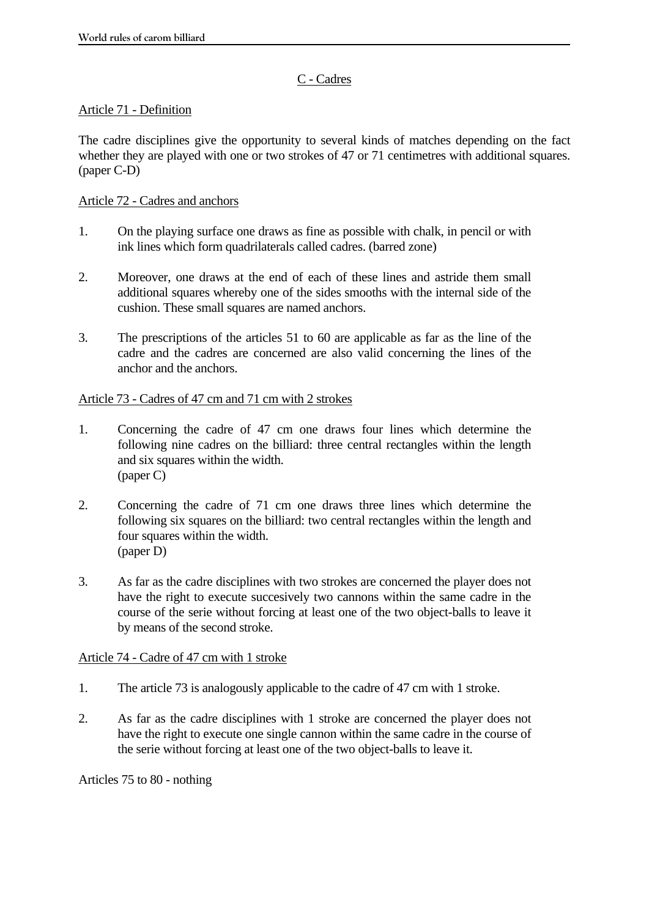# C - Cadres

## Article 71 - Definition

The cadre disciplines give the opportunity to several kinds of matches depending on the fact whether they are played with one or two strokes of 47 or 71 centimetres with additional squares. (paper C-D)

## Article 72 - Cadres and anchors

- 1. On the playing surface one draws as fine as possible with chalk, in pencil or with ink lines which form quadrilaterals called cadres. (barred zone)
- 2. Moreover, one draws at the end of each of these lines and astride them small additional squares whereby one of the sides smooths with the internal side of the cushion. These small squares are named anchors.
- 3. The prescriptions of the articles 51 to 60 are applicable as far as the line of the cadre and the cadres are concerned are also valid concerning the lines of the anchor and the anchors.

## Article 73 - Cadres of 47 cm and 71 cm with 2 strokes

- 1. Concerning the cadre of 47 cm one draws four lines which determine the following nine cadres on the billiard: three central rectangles within the length and six squares within the width. (paper C)
- 2. Concerning the cadre of 71 cm one draws three lines which determine the following six squares on the billiard: two central rectangles within the length and four squares within the width. (paper D)
- 3. As far as the cadre disciplines with two strokes are concerned the player does not have the right to execute succesively two cannons within the same cadre in the course of the serie without forcing at least one of the two object-balls to leave it by means of the second stroke.

## Article 74 - Cadre of 47 cm with 1 stroke

- 1. The article 73 is analogously applicable to the cadre of 47 cm with 1 stroke.
- 2. As far as the cadre disciplines with 1 stroke are concerned the player does not have the right to execute one single cannon within the same cadre in the course of the serie without forcing at least one of the two object-balls to leave it.

Articles 75 to 80 - nothing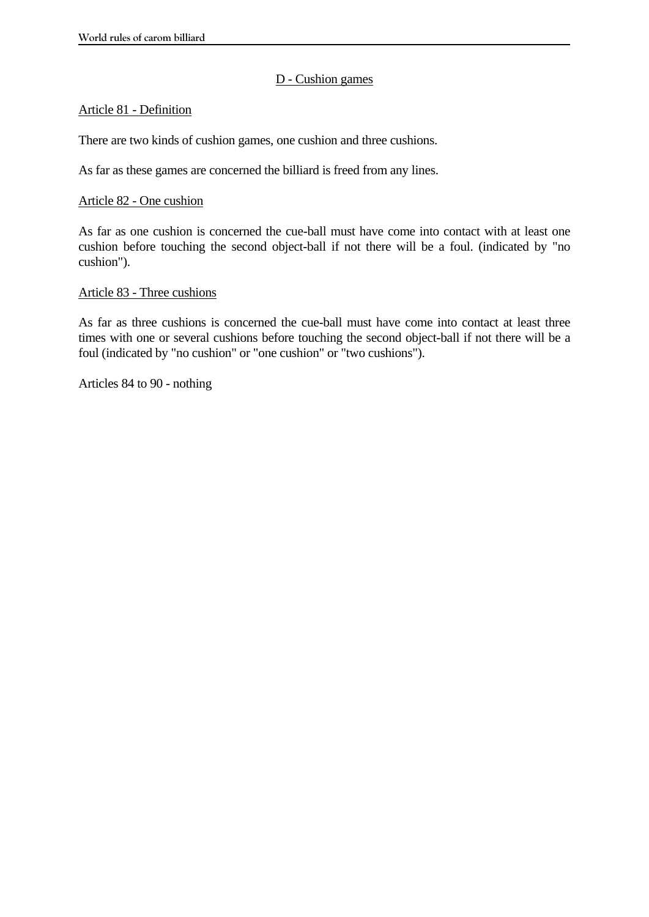### D - Cushion games

### Article 81 - Definition

There are two kinds of cushion games, one cushion and three cushions.

As far as these games are concerned the billiard is freed from any lines.

### Article 82 - One cushion

As far as one cushion is concerned the cue-ball must have come into contact with at least one cushion before touching the second object-ball if not there will be a foul. (indicated by "no cushion").

#### Article 83 - Three cushions

As far as three cushions is concerned the cue-ball must have come into contact at least three times with one or several cushions before touching the second object-ball if not there will be a foul (indicated by "no cushion" or "one cushion" or "two cushions").

Articles 84 to 90 - nothing